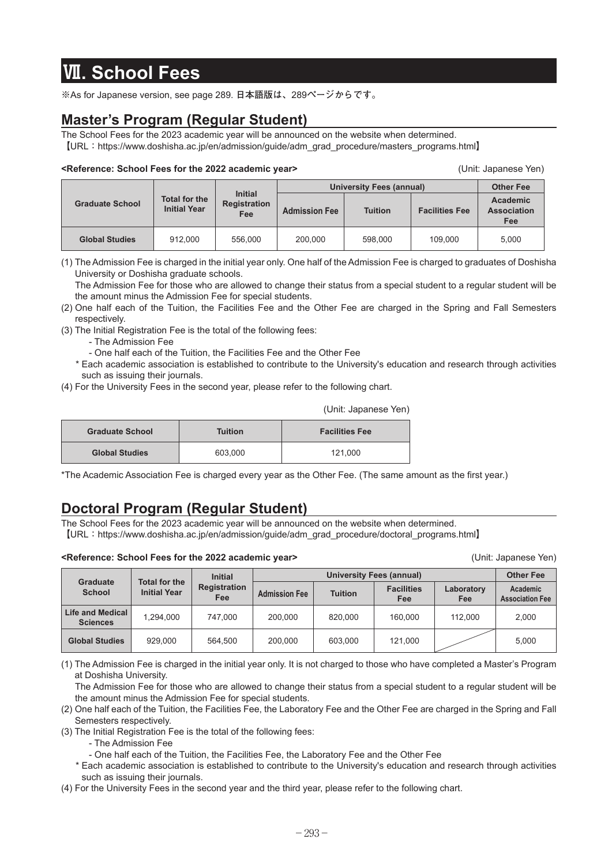# **Ⅶ. School Fees**

**※**As for Japanese version, see page 289. **日本語版は、**289**ページからです。**

### **Master's Program (Regular Student)**

The School Fees for the 2023 academic year will be announced on the website when determined. **【**URL**:**https://www.doshisha.ac.jp/en/admission/guide/adm\_grad\_procedure/masters\_programs.html**】**

#### **<Reference: School Fees for the 2022 academic year>** (Unit: Japanese Yen)

**Graduate School Total for the Initial Year Initial Registration Fee University Fees (annual) Other Fee Admission Fee Tuition Facilities Fee Academic Association Fee Global Studies** 912,000 556,000 200,000 598,000 109,000 5,000

(1) The Admission Fee is charged in the initial year only. One half of the Admission Fee is charged to graduates of Doshisha University or Doshisha graduate schools.

 The Admission Fee for those who are allowed to change their status from a special student to a regular student will be the amount minus the Admission Fee for special students.

- (2) One half each of the Tuition, the Facilities Fee and the Other Fee are charged in the Spring and Fall Semesters respectively.
- (3) The Initial Registration Fee is the total of the following fees:
	- The Admission Fee
	- One half each of the Tuition, the Facilities Fee and the Other Fee
	- \* Each academic association is established to contribute to the University's education and research through activities such as issuing their journals.
- (4) For the University Fees in the second year, please refer to the following chart.

|  | (Unit: Japanese Yen) |  |
|--|----------------------|--|
|  |                      |  |

| <b>Graduate School</b> | Tuition | <b>Facilities Fee</b> |
|------------------------|---------|-----------------------|
| <b>Global Studies</b>  | 603.000 | 121.000               |

\*The Academic Association Fee is charged every year as the Other Fee. (The same amount as the first year.)

### **Doctoral Program (Regular Student)**

The School Fees for the 2023 academic year will be announced on the website when determined. **【**URL**:**https://www.doshisha.ac.jp/en/admission/guide/adm\_grad\_procedure/doctoral\_programs.html**】**

#### **<Reference: School Fees for the 2022 academic year>** (Unit: Japanese Yen)

|                                            | <b>Initial</b>                              |                            |                      | <b>Other Fee</b> |                          |                   |                                    |
|--------------------------------------------|---------------------------------------------|----------------------------|----------------------|------------------|--------------------------|-------------------|------------------------------------|
| <b>Graduate</b><br><b>School</b>           | <b>Total for the</b><br><b>Initial Year</b> | <b>Registration</b><br>Fee | <b>Admission Fee</b> | <b>Tuition</b>   | <b>Facilities</b><br>Fee | Laboratory<br>Fee | Academic<br><b>Association Fee</b> |
| <b>Life and Medical</b><br><b>Sciences</b> | 1.294.000                                   | 747.000                    | 200,000              | 820.000          | 160.000                  | 112.000           | 2,000                              |
| <b>Global Studies</b>                      | 929.000                                     | 564.500                    | 200,000              | 603.000          | 121,000                  |                   | 5,000                              |

(1) The Admission Fee is charged in the initial year only. It is not charged to those who have completed a Master's Program at Doshisha University.

 The Admission Fee for those who are allowed to change their status from a special student to a regular student will be the amount minus the Admission Fee for special students.

(2) One half each of the Tuition, the Facilities Fee, the Laboratory Fee and the Other Fee are charged in the Spring and Fall Semesters respectively.

(3) The Initial Registration Fee is the total of the following fees:

- The Admission Fee

- One half each of the Tuition, the Facilities Fee, the Laboratory Fee and the Other Fee

 \* Each academic association is established to contribute to the University's education and research through activities such as issuing their journals.

(4) For the University Fees in the second year and the third year, please refer to the following chart.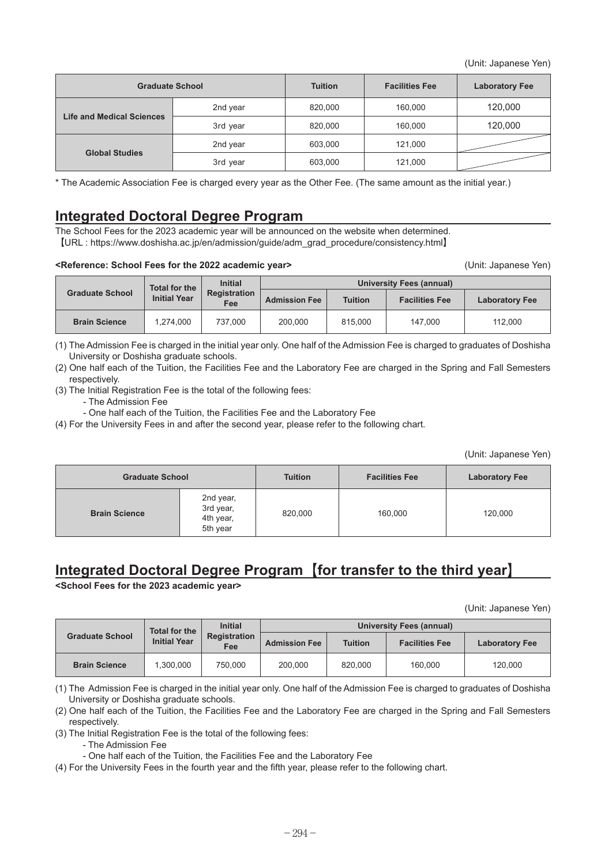(Unit: Japanese Yen)

| <b>Graduate School</b>           |          | <b>Tuition</b> | <b>Facilities Fee</b> | <b>Laboratory Fee</b> |
|----------------------------------|----------|----------------|-----------------------|-----------------------|
| <b>Life and Medical Sciences</b> | 2nd year | 820,000        | 160,000               | 120,000               |
|                                  | 3rd year | 820,000        | 160,000               | 120,000               |
| <b>Global Studies</b>            | 2nd year | 603,000        | 121,000               |                       |
|                                  | 3rd year | 603,000        | 121,000               |                       |

\* The Academic Association Fee is charged every year as the Other Fee. (The same amount as the initial year.)

### **Integrated Doctoral Degree Program**

The School Fees for the 2023 academic year will be announced on the website when determined. **【**URL : https://www.doshisha.ac.jp/en/admission/guide/adm\_grad\_procedure/consistency.html**】**

#### **<Reference: School Fees for the 2022 academic year>** (Unit: Japanese Yen)

|                        | <b>Initial</b><br><b>Total for the</b> |                     | University Fees (annual) |                |                       |                       |
|------------------------|----------------------------------------|---------------------|--------------------------|----------------|-----------------------|-----------------------|
| <b>Graduate School</b> | <b>Initial Year</b>                    | Registration<br>Fee | <b>Admission Fee</b>     | <b>Tuition</b> | <b>Facilities Fee</b> | <b>Laboratory Fee</b> |
| <b>Brain Science</b>   | 1.274.000                              | 737.000             | 200.000                  | 815,000        | 147.000               | 112.000               |

(1) The Admission Fee is charged in the initial year only. One half of the Admission Fee is charged to graduates of Doshisha University or Doshisha graduate schools.

(2) One half each of the Tuition, the Facilities Fee and the Laboratory Fee are charged in the Spring and Fall Semesters respectively.

(3) The Initial Registration Fee is the total of the following fees:

- The Admission Fee

- One half each of the Tuition, the Facilities Fee and the Laboratory Fee

(4) For the University Fees in and after the second year, please refer to the following chart.

(Unit: Japanese Yen)

| <b>Graduate School</b> |                                                 | <b>Tuition</b> | <b>Facilities Fee</b> | <b>Laboratory Fee</b> |  |
|------------------------|-------------------------------------------------|----------------|-----------------------|-----------------------|--|
| <b>Brain Science</b>   | 2nd year,<br>3rd year,<br>4th year,<br>5th year | 820,000        | 160,000               | 120,000               |  |

## **Integrated Doctoral Degree Program【for transfer to the third year】**

**<School Fees for the 2023 academic year>**

(Unit: Japanese Yen)

|                        | <b>Initial</b><br><b>Total for the</b> |                            | <b>University Fees (annual)</b> |                |                       |                       |
|------------------------|----------------------------------------|----------------------------|---------------------------------|----------------|-----------------------|-----------------------|
| <b>Graduate School</b> | <b>Initial Year</b>                    | <b>Registration</b><br>Fee | <b>Admission Fee</b>            | <b>Tuition</b> | <b>Facilities Fee</b> | <b>Laboratory Fee</b> |
| <b>Brain Science</b>   | 1.300.000                              | 750.000                    | 200.000                         | 820,000        | 160.000               | 120,000               |

(1) The Admission Fee is charged in the initial year only. One half of the Admission Fee is charged to graduates of Doshisha University or Doshisha graduate schools.

(2) One half each of the Tuition, the Facilities Fee and the Laboratory Fee are charged in the Spring and Fall Semesters respectively.

(3) The Initial Registration Fee is the total of the following fees:

- The Admission Fee

- One half each of the Tuition, the Facilities Fee and the Laboratory Fee

(4) For the University Fees in the fourth year and the fifth year, please refer to the following chart.